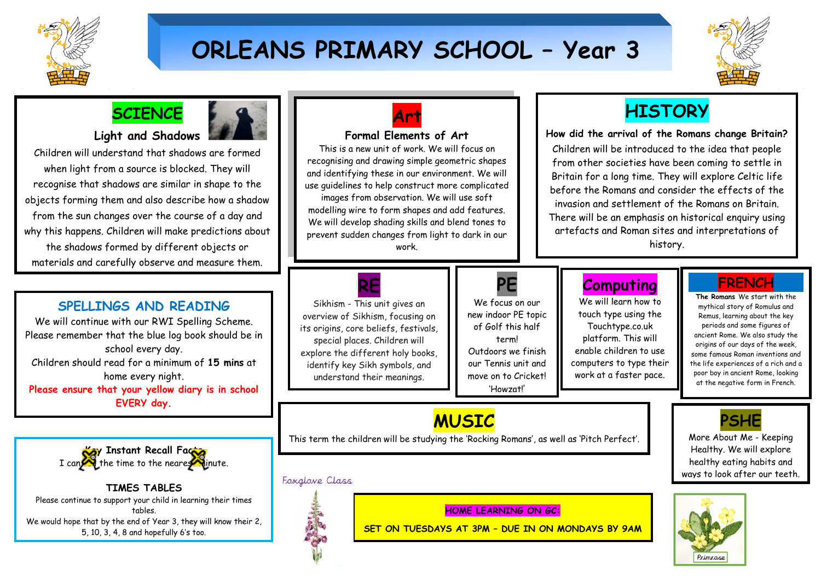

# **ORLEANS PRIMARY SCHOOL – Year 3**



## **SCIENCE**

### **Light and Shadows**

Children will understand that shadows are formed when light from a source is blocked. They will recognise that shadows are similar in shape to the objects forming them and also describe how a shadow from the sun changes over the course of a day and why this happens. Children will make predictions about the shadows formed by different objects or materials and carefully observe and measure them.

## **SPELLINGS AND READING**

We will continue with our RWI Spelling Scheme. Please remember that the blue log book should be in school every day. Children should read for a minimum of **15 mins** at home every night. **Please ensure that your yellow diary is in school EVERY day.**



**TIMES TABLES** Please continue to support your child in learning their times tables. We would hope that by the end of Year 3, they will know their 2, 5, 10, 3, 4, 8 and hopefully 6's too.



### **Formal Elements of Art**

This is a new unit of work. We will focus on recognising and drawing simple geometric shapes and identifying these in our environment. We will use guidelines to help construct more complicated images from observation. We will use soft modelling wire to form shapes and add features. We will develop shading skills and blend tones to prevent sudden changes from light to dark in our work.

## **HISTORY**

**How did the arrival of the Romans change Britain?** Children will be introduced to the idea that people from other societies have been coming to settle in Britain for a long time. They will explore Celtic life

before the Romans and consider the effects of the invasion and settlement of the Romans on Britain. There will be an emphasis on historical enquiry using artefacts and Roman sites and interpretations of history.

**RE** Sikhism - This unit gives an overview of Sikhism, focusing on its origins, core beliefs, festivals, special places. Children will explore the different holy books, identify key Sikh symbols, and understand their meanings.

# **PE**

We focus on our new indoor PE topic of Golf this half term! Outdoors we finish our Tennis unit and move on to Cricket! 'Howzat!'

## **Computing**

We will learn how to touch type using the Touchtype.co.uk platform. This will enable children to use computers to type their work at a faster pace.

## **FRENCH**

**The Romans** We start with the mythical story of Romulus and Remus, learning about the key periods and some figures of ancient Rome. We also study the origins of our days of the week, some famous Roman inventions and the life experiences of a rich and a poor boy in ancient Rome, looking at the negative form in French.

**PSHE** More About Me - Keeping Healthy. We will explore healthy eating habits and ways to look after our teeth.

## **MUSIC**

This term the children will be studying the 'Rocking Romans', as well as 'Pitch Perfect'.

### Foxalove Class



## **HOME LEARNING ON GC:**

**SET ON TUESDAYS AT 3PM – DUE IN ON MONDAYS BY 9AM**